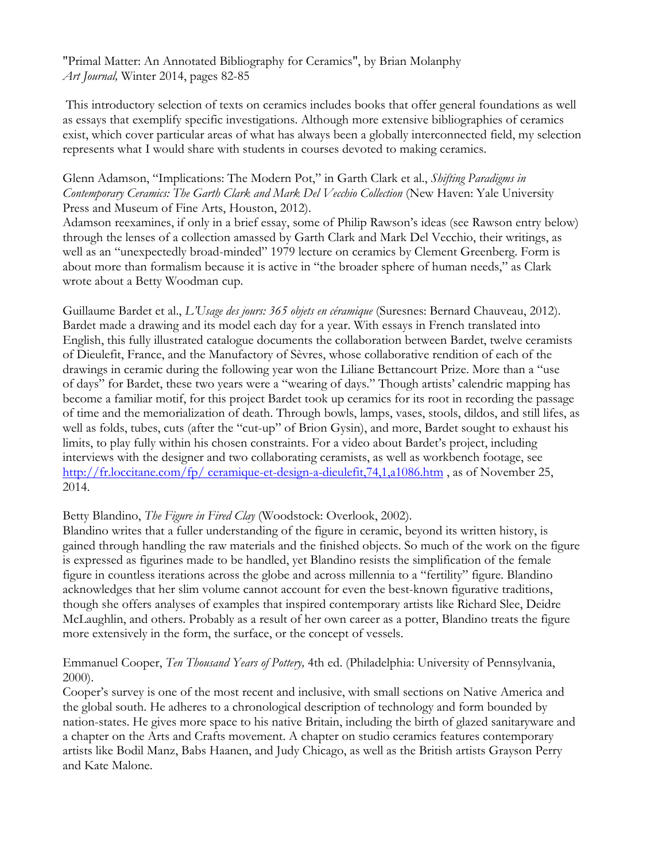"Primal Matter: An Annotated Bibliography for Ceramics", by Brian Molanphy *Art Journal,* Winter 2014, pages 82-85

This introductory selection of texts on ceramics includes books that offer general foundations as well as essays that exemplify specific investigations. Although more extensive bibliographies of ceramics exist, which cover particular areas of what has always been a globally interconnected field, my selection represents what I would share with students in courses devoted to making ceramics.

## Glenn Adamson, "Implications: The Modern Pot," in Garth Clark et al., *Shifting Paradigms in Contemporary Ceramics: The Garth Clark and Mark Del Vecchio Collection* (New Haven: Yale University Press and Museum of Fine Arts, Houston, 2012).

Adamson reexamines, if only in a brief essay, some of Philip Rawson's ideas (see Rawson entry below) through the lenses of a collection amassed by Garth Clark and Mark Del Vecchio, their writings, as well as an "unexpectedly broad-minded" 1979 lecture on ceramics by Clement Greenberg. Form is about more than formalism because it is active in "the broader sphere of human needs," as Clark wrote about a Betty Woodman cup.

Guillaume Bardet et al., *L'Usage des jours: 365 objets en céramique* (Suresnes: Bernard Chauveau, 2012). Bardet made a drawing and its model each day for a year. With essays in French translated into English, this fully illustrated catalogue documents the collaboration between Bardet, twelve ceramists of Dieulefit, France, and the Manufactory of Sèvres, whose collaborative rendition of each of the drawings in ceramic during the following year won the Liliane Bettancourt Prize. More than a "use of days" for Bardet, these two years were a "wearing of days." Though artists' calendric mapping has become a familiar motif, for this project Bardet took up ceramics for its root in recording the passage of time and the memorialization of death. Through bowls, lamps, vases, stools, dildos, and still lifes, as well as folds, tubes, cuts (after the "cut-up" of Brion Gysin), and more, Bardet sought to exhaust his limits, to play fully within his chosen constraints. For a video about Bardet's project, including interviews with the designer and two collaborating ceramists, as well as workbench footage, see http://fr.loccitane.com/fp/ ceramique-et-design-a-dieulefit,74,1,a1086.htm, as of November 25, 2014.

## Betty Blandino, *The Figure in Fired Clay* (Woodstock: Overlook, 2002).

Blandino writes that a fuller understanding of the figure in ceramic, beyond its written history, is gained through handling the raw materials and the finished objects. So much of the work on the figure is expressed as figurines made to be handled, yet Blandino resists the simplification of the female figure in countless iterations across the globe and across millennia to a "fertility" figure. Blandino acknowledges that her slim volume cannot account for even the best-known figurative traditions, though she offers analyses of examples that inspired contemporary artists like Richard Slee, Deidre McLaughlin, and others. Probably as a result of her own career as a potter, Blandino treats the figure more extensively in the form, the surface, or the concept of vessels.

## Emmanuel Cooper, *Ten Thousand Years of Pottery,* 4th ed. (Philadelphia: University of Pennsylvania, 2000).

Cooper's survey is one of the most recent and inclusive, with small sections on Native America and the global south. He adheres to a chronological description of technology and form bounded by nation-states. He gives more space to his native Britain, including the birth of glazed sanitaryware and a chapter on the Arts and Crafts movement. A chapter on studio ceramics features contemporary artists like Bodil Manz, Babs Haanen, and Judy Chicago, as well as the British artists Grayson Perry and Kate Malone.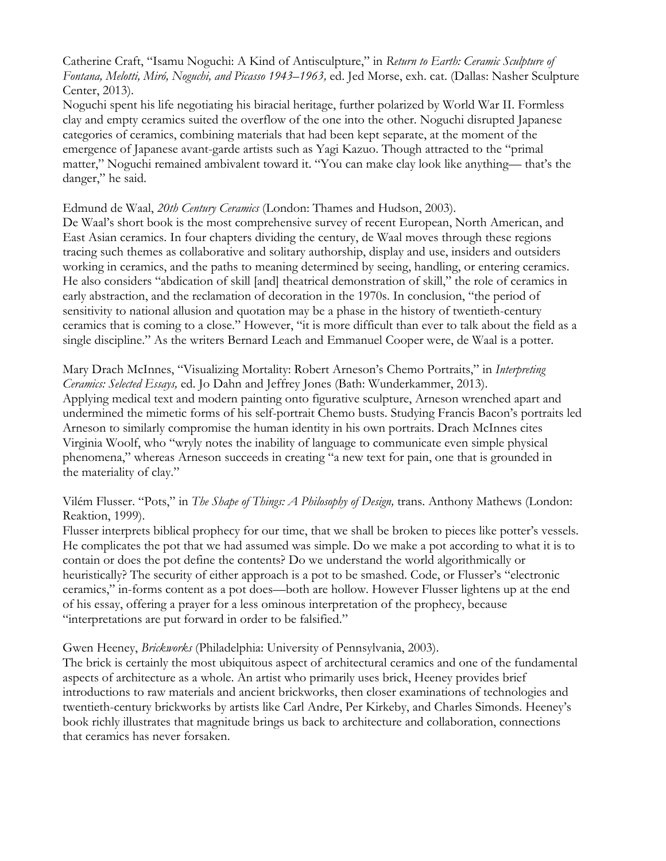Catherine Craft, "Isamu Noguchi: A Kind of Antisculpture," in *Return to Earth: Ceramic Sculpture of Fontana, Melotti, Miró, Noguchi, and Picasso 1943–1963,* ed. Jed Morse, exh. cat. (Dallas: Nasher Sculpture Center, 2013).

Noguchi spent his life negotiating his biracial heritage, further polarized by World War II. Formless clay and empty ceramics suited the overflow of the one into the other. Noguchi disrupted Japanese categories of ceramics, combining materials that had been kept separate, at the moment of the emergence of Japanese avant-garde artists such as Yagi Kazuo. Though attracted to the "primal matter," Noguchi remained ambivalent toward it. "You can make clay look like anything— that's the danger," he said.

Edmund de Waal, *20th Century Ceramics* (London: Thames and Hudson, 2003).

De Waal's short book is the most comprehensive survey of recent European, North American, and East Asian ceramics. In four chapters dividing the century, de Waal moves through these regions tracing such themes as collaborative and solitary authorship, display and use, insiders and outsiders working in ceramics, and the paths to meaning determined by seeing, handling, or entering ceramics. He also considers "abdication of skill [and] theatrical demonstration of skill," the role of ceramics in early abstraction, and the reclamation of decoration in the 1970s. In conclusion, "the period of sensitivity to national allusion and quotation may be a phase in the history of twentieth-century ceramics that is coming to a close." However, "it is more difficult than ever to talk about the field as a single discipline." As the writers Bernard Leach and Emmanuel Cooper were, de Waal is a potter.

Mary Drach McInnes, "Visualizing Mortality: Robert Arneson's Chemo Portraits," in *Interpreting Ceramics: Selected Essays,* ed. Jo Dahn and Jeffrey Jones (Bath: Wunderkammer, 2013). Applying medical text and modern painting onto figurative sculpture, Arneson wrenched apart and undermined the mimetic forms of his self-portrait Chemo busts. Studying Francis Bacon's portraits led Arneson to similarly compromise the human identity in his own portraits. Drach McInnes cites Virginia Woolf, who "wryly notes the inability of language to communicate even simple physical phenomena," whereas Arneson succeeds in creating "a new text for pain, one that is grounded in the materiality of clay."

Vilém Flusser. "Pots," in *The Shape of Things: A Philosophy of Design,* trans. Anthony Mathews (London: Reaktion, 1999).

Flusser interprets biblical prophecy for our time, that we shall be broken to pieces like potter's vessels. He complicates the pot that we had assumed was simple. Do we make a pot according to what it is to contain or does the pot define the contents? Do we understand the world algorithmically or heuristically? The security of either approach is a pot to be smashed. Code, or Flusser's "electronic ceramics," in-forms content as a pot does—both are hollow. However Flusser lightens up at the end of his essay, offering a prayer for a less ominous interpretation of the prophecy, because "interpretations are put forward in order to be falsified."

Gwen Heeney, *Brickworks* (Philadelphia: University of Pennsylvania, 2003).

The brick is certainly the most ubiquitous aspect of architectural ceramics and one of the fundamental aspects of architecture as a whole. An artist who primarily uses brick, Heeney provides brief introductions to raw materials and ancient brickworks, then closer examinations of technologies and twentieth-century brickworks by artists like Carl Andre, Per Kirkeby, and Charles Simonds. Heeney's book richly illustrates that magnitude brings us back to architecture and collaboration, connections that ceramics has never forsaken.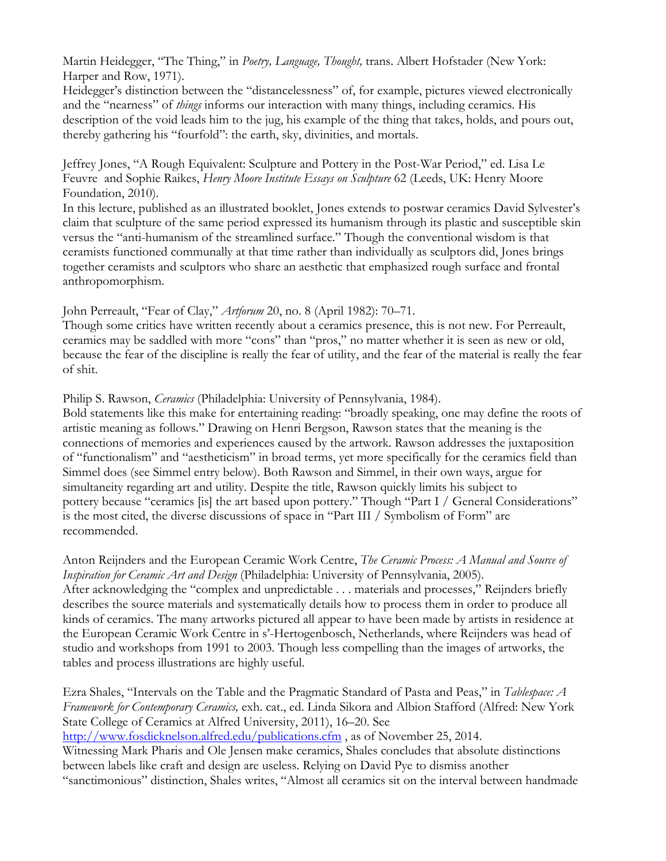Martin Heidegger, "The Thing," in *Poetry, Language, Thought,* trans. Albert Hofstader (New York: Harper and Row, 1971).

Heidegger's distinction between the "distancelessness" of, for example, pictures viewed electronically and the "nearness" of *things* informs our interaction with many things, including ceramics. His description of the void leads him to the jug, his example of the thing that takes, holds, and pours out, thereby gathering his "fourfold": the earth, sky, divinities, and mortals.

Jeffrey Jones, "A Rough Equivalent: Sculpture and Pottery in the Post-War Period," ed. Lisa Le Feuvre and Sophie Raikes, *Henry Moore Institute Essays on Sculpture* 62 (Leeds, UK: Henry Moore Foundation, 2010).

In this lecture, published as an illustrated booklet, Jones extends to postwar ceramics David Sylvester's claim that sculpture of the same period expressed its humanism through its plastic and susceptible skin versus the "anti-humanism of the streamlined surface." Though the conventional wisdom is that ceramists functioned communally at that time rather than individually as sculptors did, Jones brings together ceramists and sculptors who share an aesthetic that emphasized rough surface and frontal anthropomorphism.

John Perreault, "Fear of Clay," *Artforum* 20, no. 8 (April 1982): 70–71.

Though some critics have written recently about a ceramics presence, this is not new. For Perreault, ceramics may be saddled with more "cons" than "pros," no matter whether it is seen as new or old, because the fear of the discipline is really the fear of utility, and the fear of the material is really the fear of shit.

Philip S. Rawson, *Ceramics* (Philadelphia: University of Pennsylvania, 1984).

Bold statements like this make for entertaining reading: "broadly speaking, one may define the roots of artistic meaning as follows." Drawing on Henri Bergson, Rawson states that the meaning is the connections of memories and experiences caused by the artwork. Rawson addresses the juxtaposition of "functionalism" and "aestheticism" in broad terms, yet more specifically for the ceramics field than Simmel does (see Simmel entry below). Both Rawson and Simmel, in their own ways, argue for simultaneity regarding art and utility. Despite the title, Rawson quickly limits his subject to pottery because "ceramics [is] the art based upon pottery." Though "Part I / General Considerations" is the most cited, the diverse discussions of space in "Part III / Symbolism of Form" are recommended.

Anton Reijnders and the European Ceramic Work Centre, *The Ceramic Process: A Manual and Source of Inspiration for Ceramic Art and Design* (Philadelphia: University of Pennsylvania, 2005). After acknowledging the "complex and unpredictable . . . materials and processes," Reijnders briefly describes the source materials and systematically details how to process them in order to produce all kinds of ceramics. The many artworks pictured all appear to have been made by artists in residence at the European Ceramic Work Centre in s'-Hertogenbosch, Netherlands, where Reijnders was head of studio and workshops from 1991 to 2003. Though less compelling than the images of artworks, the tables and process illustrations are highly useful.

Ezra Shales, "Intervals on the Table and the Pragmatic Standard of Pasta and Peas," in *Tablespace: A Framework for Contemporary Ceramics,* exh. cat., ed. Linda Sikora and Albion Stafford (Alfred: New York State College of Ceramics at Alfred University, 2011), 16–20. See http://www.fosdicknelson.alfred.edu/publications.cfm , as of November 25, 2014. Witnessing Mark Pharis and Ole Jensen make ceramics, Shales concludes that absolute distinctions between labels like craft and design are useless. Relying on David Pye to dismiss another "sanctimonious" distinction, Shales writes, "Almost all ceramics sit on the interval between handmade